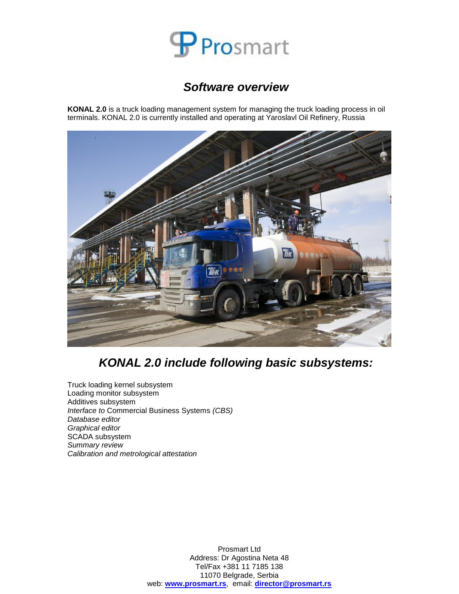

### *Software overview*

**KONAL 2.0** is a truck loading management system for managing the truck loading process in oil terminals. KONAL 2.0 is currently installed and operating at Yaroslavl Oil Refinery, Russia



# *KONAL 2.0 include following basic subsystems:*

Truck loading kernel subsystem Loading monitor subsystem Additives subsystem *Interface to* Commercial Business Systems *(CBS) Database editor Graphical editor* SCADA subsystem *Summary review Calibration and metrological attestation*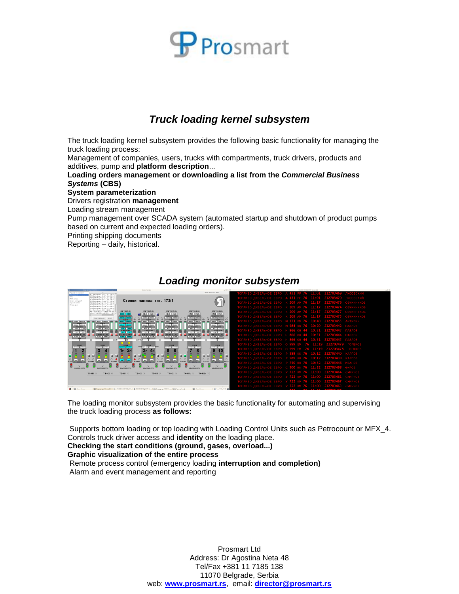

## *Truck loading kernel subsystem*

The truck loading kernel subsystem provides the following basic functionality for managing the truck loading process:

Management of companies, users, trucks with compartments, truck drivers, products and additives, pump and **platform description**...

**Loading orders management or downloading a list from the** *Commercial Business Systems* **(CBS)**

**System parameterization**

Drivers registration **management**

Loading stream management

Pump management over SCADA system (automated startup and shutdown of product pumps based on current and expected loading orders).

Printing shipping documents

Reporting – daily, historical.

| ENGLADEVERS TOWARDS                                                                                                          | Craws Homes                                                                                                                                                      | $-0 \times \square$                                                                                                           |                       | C/TelCOK ORPGANIZE / Kavan sit 8                        |                           |           | $-0.5$ |
|------------------------------------------------------------------------------------------------------------------------------|------------------------------------------------------------------------------------------------------------------------------------------------------------------|-------------------------------------------------------------------------------------------------------------------------------|-----------------------|---------------------------------------------------------|---------------------------|-----------|--------|
| <b>COL</b><br><b>President Hotel dent</b><br>FC1 (PetroCount 13 627.827.226 -1<br>of came                                    |                                                                                                                                                                  | <b>Cherry Decorations Range</b>                                                                                               |                       |                                                         |                           |           |        |
| C2 (PetroCount 21 627 .026 226<br>TY's<br>PC3 IP#troCount 31 627 .924 226-<br>CTOD HAVEN<br>FC4 (FetroCount 4) 627 826 226   |                                                                                                                                                                  |                                                                                                                               |                       | A 431 PP 76<br>11:01                                    | 212703470                 | писовскии |        |
| <b>Really rackaged</b><br>PCS (PetroCount S) 648 .777 195.4<br>Задання налиша<br>FOR PHOTOGRAPH 63 648 777 1951              | Стояки налива тит. 173/1                                                                                                                                         |                                                                                                                               |                       | 11:17<br><b>BARRA TALES</b>                             | 212703476                 |           |        |
| <b>PC INVARIAT</b><br>PC7 (FebroCount 7) 527.752.295-<br>FCII (FetroCount 8) 526.772 293<br>FC9 (FetroCount 9) 526 .772 293- |                                                                                                                                                                  |                                                                                                                               |                       | 11:17                                                   | 212703474                 |           |        |
| U.L. (PetroCount AIR DO R 19.400<br>PCTO (PetroCount 10) 526,771 295<br>Ev. Ct., 11 Bill's Controllar I line.                | KOR TOORNA<br>KOD TOTITINGA<br><b>KOR TOTITHRA</b>                                                                                                               | KOETOGRAPA<br>KOR TOORINGA                                                                                                    |                       | 11:17                                                   | 212703477                 | ОВЧИННИКО |        |
|                                                                                                                              | 0648<br>0648 0648<br><b><i>LER CHETTER</i></b><br>00000 00000<br>RS4005 RX602<br>74671396 4496564<br>റ                                                           | 0527 0526<br>0526 0526<br><b>NAME OF TAXABLE</b><br><b>CAR CAR TIME</b><br>7145371 6842298<br>X-63300 7442800                 | <b>FRPA</b><br>ивні   | 11:17<br>AM 76<br>a bina                                | 212703475                 |           |        |
| Редоктивороние Викод<br>cook a Ticock a Tiggal<br>I conta I conta I des                                                      | RP.<br>HP.<br>$\blacksquare$<br><b>JADAUS</b><br>00000.0 00000.0<br>score a Il score a<br><b>CONTROL DESIGNATION</b>                                             | $\cdots$<br>1,84,691<br>RP.<br><b>JADAUD</b><br>00003.0 00003.0<br>08083.0 08083.0                                            |                       | M 371 PM 76<br>10:40                                    | 212703455                 | АНТИПИН   |        |
| <b>MARKET</b><br><b>SAVATO</b><br><b>DODG 3 00000 3</b><br><b>ORDER OF CEREAL</b><br>mann<br>------                          | <b>HATRITE</b><br><b>MARKETIN</b><br><b>BORD BORD</b><br><b>MODELS</b> UNION<br>scope a concern<br><b>BERNETS</b><br><b><i>STATISTICS</i></b><br>------          | <b>HATRIS</b><br><b>MARKET</b><br>GROUND E GARDEN<br>00003.0 00003.0<br><b>INSTALL</b><br><b>FURNISHETS</b>                   |                       | 10:20<br><b>115</b><br><b>STATISTICS</b><br><b>BORO</b> | 212703442                 |           |        |
| <b>BATT &amp; BATE</b><br>naze naze                                                                                          | $am$ arm<br>$4.777$ $4.777$<br>1000 1000<br>害                                                                                                                    | 0.757 0.772<br>$\alpha$ <i>rn</i> $\alpha$ <i>rn</i><br><b>EXMERGENCY</b><br>æ                                                |                       | 0:31                                                    | 212703443                 |           |        |
| ∊<br>$21 - 21$<br>$-43$ $-48$<br>▭<br>۰I<br><b>BESHOCTIV C.P.C.</b><br>mmaacru c Pf<br><b>DANS BAYAS</b><br><b>CARL CARL</b> | -<br>∊<br>$-45$ $-43$<br><b>COL</b><br>$-2.1 - 2.1$<br>=<br>ø<br><b>MOTHSCHLC MEXA</b><br><b>INTIMETS CAFEE</b><br><b>ROSTARCTA C PC</b><br><b>Long Distance</b> | ▬<br>$\left\  \cdot \right\ $ $\left\  \cdot \right\ $<br>$-42$ $-48$<br>▬<br>ministry c PC<br>mmaacru c PC<br>6.750 E 6.7605 |                       | 0:31                                                    | 212703444                 |           |        |
| <b>Nov</b>                                                                                                                   | arms arms<br><b>SYLFENIA</b><br><b>Total</b>                                                                                                                     | 0.7598 0.7715                                                                                                                 |                       | 10:31<br><b>H 866</b>                                   | 212703445                 |           |        |
| 100000<br>0.693                                                                                                              | m<br>œ<br><b>DERA</b><br><b>DEED</b><br><b>DEED</b>                                                                                                              | 10,692<br><b>DEED</b>                                                                                                         |                       |                                                         | 212706474<br>11:19        |           |        |
| some forms<br>concert concert                                                                                                | <b>CONTRACTOR</b> PROPERTY AND<br>committee of<br>ranoni pano                                                                                                    | <b>EXECUTIVE</b><br>sawal sawa                                                                                                |                       |                                                         | 212703478<br><b>THE R</b> |           |        |
| ۰<br>吕<br>Β                                                                                                                  | .3F<br>$\mathbf{Z}$ P<br>e                                                                                                                                       | -9<br>10<br>Е                                                                                                                 | изник.<br><b>FRPO</b> | <sup>,</sup> 589 KK 76                                  | 10:12 212703440           |           |        |
| 圓<br>回<br>o<br>$\circ$                                                                                                       | 圖<br>圓<br>G<br>≝<br>$\circ$                                                                                                                                      | 国<br>日日<br><b>EIE</b><br>$\Omega$<br>- 0                                                                                      |                       | 10:12                                                   | 212703439                 |           |        |
| con<br>990<br>loco<br>cco<br><b>INFOR</b><br><b>EGPGEND</b><br>ECFCEND<br><b>CLATHE</b><br><b>D</b> Change                   | $\sqrt{2}$<br>ooo ]<br>oxs<br>$rac{1}{2}$<br><b>DEFERMS</b><br>C CADY C<br><b>Claim</b>                                                                          | cco <sup>-</sup><br> 300 <br>con<br>loop<br><b>DEPERNO</b><br><b>CEADE O ISRA</b><br><b>CEPT CHE</b><br><b>D STATE O</b>      | .                     | 10:32<br>7 S.O.<br><b>THE 76</b>                        | 212703446                 |           |        |
| $\circ$<br>$\circ$<br><b>JATA30BN##ECTI</b><br><b>SWA30BARROCTI</b>                                                          | $\circ$<br>$\circ$<br>$\circ$<br><b>JACA30BARROCTL</b><br><b>JACASEMARKOCTI</b><br><b>MEADORAHOODS</b>                                                           | $\circ$<br>$\circ$<br><b>SWA30MARROCTIL</b><br><b>MAJORRHOUTLE</b>                                                            |                       | <b>STATISTICS</b><br><b>STATE</b><br><b>SALE</b>        | 11:52 212703498           |           |        |
| T1-H1 O<br>T1-H2 0                                                                                                           | T2-H1 O<br>T3-H1 0<br>$T3-H2$                                                                                                                                    | $TA-H2x$<br>$TA-H1k$                                                                                                          |                       | <b>AND</b><br>11:00-<br>KM 76                           | 212703464                 |           |        |
|                                                                                                                              | $T2-H2$                                                                                                                                                          |                                                                                                                               |                       | 11 = 00.                                                | 212703461                 |           |        |
|                                                                                                                              |                                                                                                                                                                  |                                                                                                                               |                       | 722 KM 76<br>11:00                                      | 212703467                 |           |        |
|                                                                                                                              |                                                                                                                                                                  |                                                                                                                               |                       | 722 KM 76 11:00 212703463                               |                           |           |        |
| <b>Constitution</b>                                                                                                          | [7] Beaumont Heart 14   7] (CREDS MOHERLES   75 CREDS ON EASTERN   71 Heat entropy ADELEAN   71 Heater Edge                                                      | IT1 Corporational<br>gib ten massa men EB                                                                                     |                       | <b>STATE CONTROL</b>                                    | <b>STATISTICS</b>         |           |        |

#### *Loading monitor subsystem*

The loading monitor subsystem provides the basic functionality for automating and supervising the truck loading process **as follows:**

Supports bottom loading or top loading with Loading Control Units such as Petrocount or MFX\_4. Controls truck driver access and **identity** on the loading place. **Checking the start conditions (ground, gases, overload...) Graphic visualization of the entire process**

Remote process control (emergency loading **interruption and completion)** Alarm and event management and reporting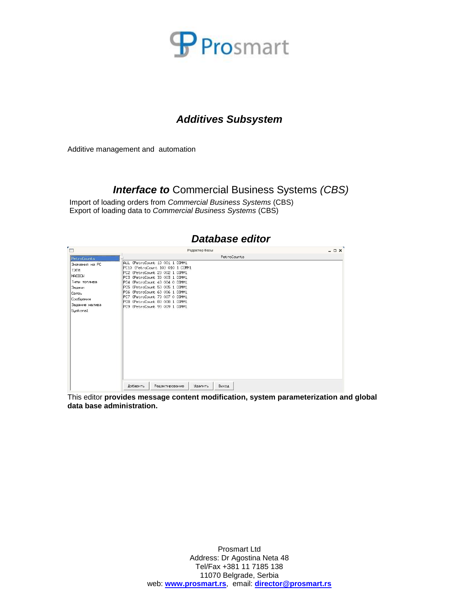

### *Additives Subsystem*

Additive management and automation

#### *Interface to* Commercial Business Systems *(CBS)*

Import of loading orders from *Commercial Business Systems* (CBS) Export of loading data to *Commercial Business Systems* (CBS)

| PetroCounts<br>ALL {PetroCount 13 001 1 COMM1<br>PC10 {PetroCount 103 010 1 COMM1<br>PC2 {PetroCount 23 002 1 COMM1                                                                                                                        |  |
|--------------------------------------------------------------------------------------------------------------------------------------------------------------------------------------------------------------------------------------------|--|
|                                                                                                                                                                                                                                            |  |
| PC3 {PetroCount 33 003 1 COMM1<br>PC4 {PetroCount 43 004 0 COMM1<br>PC5 {PetroCount 53 005 1 COMM1<br>PC6 {PetroCount 63 006 1 COMM1<br>PC7 {PetroCount 73 007 0 COMM1<br>PC8 {PetroCount 83 008 1 COMM1<br>PC9 {PetroCount 9} 009 1 COMM1 |  |
|                                                                                                                                                                                                                                            |  |

This editor **provides message content modification, system parameterization and global data base administration.**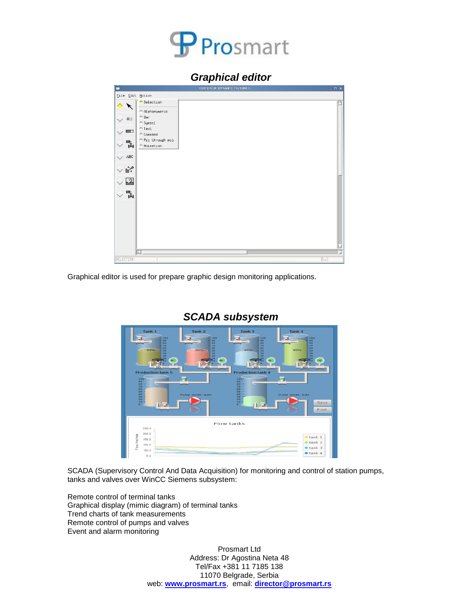

#### *Graphical editor*

| ▬                          | EDITOR OF DYNAMIC PICTURES                     | $ \Box$ $\times$ |
|----------------------------|------------------------------------------------|------------------|
| Eile Edit Action           |                                                |                  |
| $\triangle$<br>▶           | Selection<br>← Alphanumeric                    |                  |
| $\vee$ 012                 | $\wedge$ Bar<br>$\wedge$ Symbol                |                  |
| $\Box$                     | $\mathrel{\curvearrowright}$ Text<br>← Command |                  |
| $\overline{\mathbf{R}}$    | ^Pic through pic<br>← Animation                |                  |
| $\land$ ABC                |                                                |                  |
| $\mathbb{R}^2$             |                                                |                  |
| 一茎<br>$\frac{1}{\sqrt{2}}$ |                                                |                  |
|                            |                                                |                  |
|                            |                                                |                  |
|                            | $\overline{\mathcal{A}}$ .                     |                  |
| SELECTION                  |                                                | $0,0$            |

Graphical editor is used for prepare graphic design monitoring applications.



### *SCADA subsystem*

SCADA (Supervisory Control And Data Acquisition) for monitoring and control of station pumps, tanks and valves over WinCC Siemens subsystem:

Remote control of terminal tanks Graphical display (mimic diagram) of terminal tanks Trend charts of tank measurements Remote control of pumps and valves Event and alarm monitoring